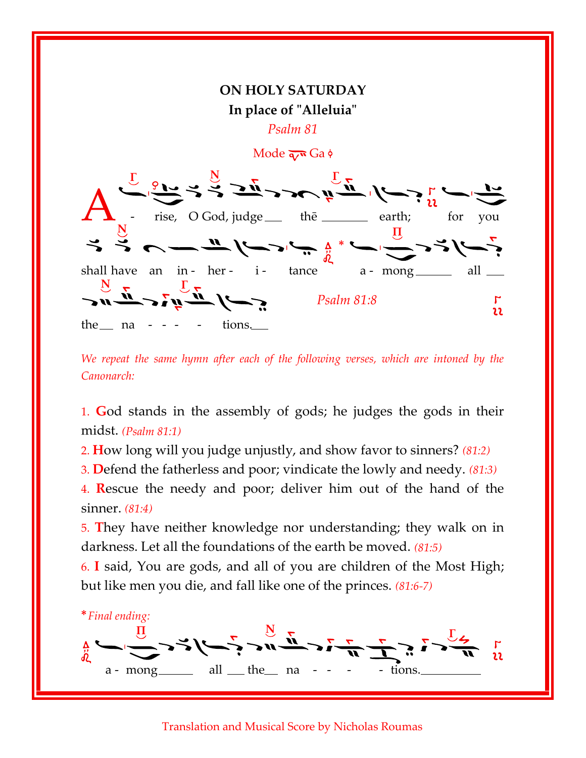

We repeat the same hymn after each of the following verses, which are intoned by the Canonarch:

1. God stands in the assembly of gods; he judges the gods in their midst. (Psalm 81:1)

2. How long will you judge unjustly, and show favor to sinners? (81:2)

3. Defend the fatherless and poor; vindicate the lowly and needy. (81:3)

4. Rescue the needy and poor; deliver him out of the hand of the sinner. (81:4)

5. They have neither knowledge nor understanding; they walk on in darkness. Let all the foundations of the earth be moved. (81:5)

6. I said, You are gods, and all of you are children of the Most High; but like men you die, and fall like one of the princes. (81:6-7)